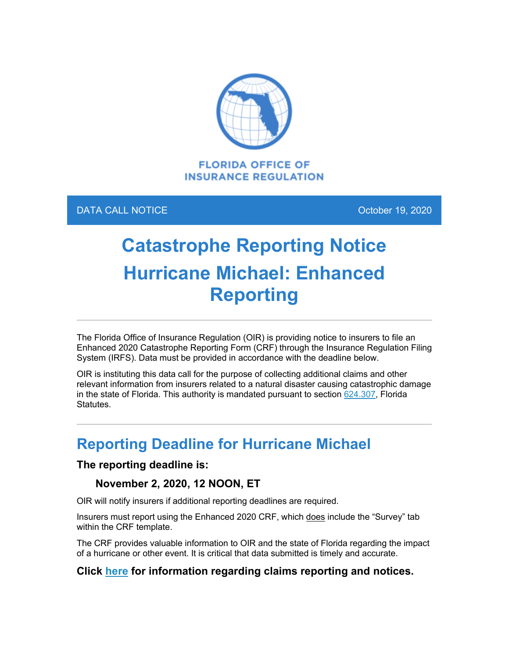

### DATA CALL NOTICE **October 19, 2020**

# **Catastrophe Reporting Notice Hurricane Michael: Enhanced Reporting**

The Florida Office of Insurance Regulation (OIR) is providing notice to insurers to file an Enhanced 2020 Catastrophe Reporting Form (CRF) through the Insurance Regulation Filing System (IRFS). Data must be provided in accordance with the deadline below.

OIR is instituting this data call for the purpose of collecting additional claims and other relevant information from insurers related to a natural disaster causing catastrophic damage in the state of Florida. This authority is mandated pursuant to section  $624.307$ , Florida Statutes.

# **Reporting Deadline for Hurricane Michael**

#### **The reporting deadline is:**

### **November 2, 2020, 12 NOON, ET**

OIR will notify insurers if additional reporting deadlines are required.

Insurers must report using the Enhanced 2020 CRF, which does include the "Survey" tab within the CRF template.

The CRF provides valuable information to OIR and the state of Florida regarding the impact of a hurricane or other event. It is critical that data submitted is timely and accurate.

### **Click [here](https://floir.com/Sections/PandC/ProductReview/CatastropheReporting.aspx?utm_medium=email&utm_source=govdelivery) for information regarding claims reporting and notices.**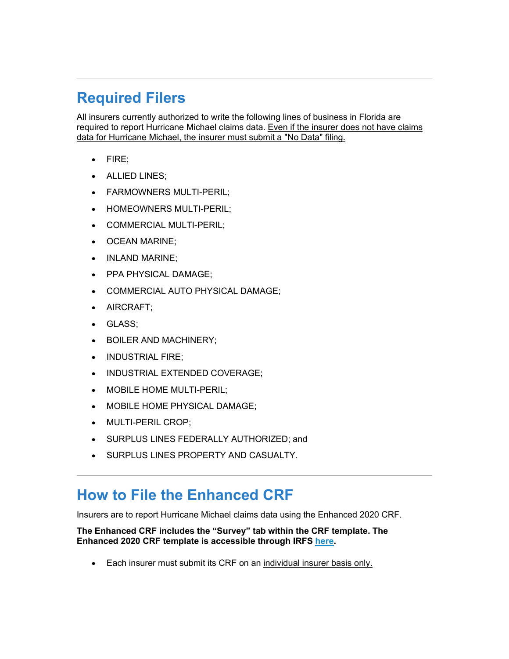# **Required Filers**

All insurers currently authorized to write the following lines of business in Florida are required to report Hurricane Michael claims data. Even if the insurer does not have claims data for Hurricane Michael, the insurer must submit a "No Data" filing.

- FIRE;
- ALLIED LINES;
- FARMOWNERS MULTI-PERIL;
- HOMEOWNERS MULTI-PERIL;
- COMMERCIAL MULTI-PERIL;
- OCEAN MARINE;
- INLAND MARINE;
- PPA PHYSICAL DAMAGE;
- COMMERCIAL AUTO PHYSICAL DAMAGE;
- AIRCRAFT;
- GLASS;
- BOILER AND MACHINERY;
- INDUSTRIAL FIRE;
- INDUSTRIAL EXTENDED COVERAGE;
- MOBILE HOME MULTI-PERIL;
- MOBILE HOME PHYSICAL DAMAGE;
- MULTI-PERIL CROP;
- SURPLUS LINES FEDERALLY AUTHORIZED; and
- SURPLUS LINES PROPERTY AND CASUALTY.

## **How to File the Enhanced CRF**

Insurers are to report Hurricane Michael claims data using the Enhanced 2020 CRF.

**The Enhanced CRF includes the "Survey" tab within the CRF template. The Enhanced 2020 CRF template is accessible through IRFS [here.](https://irfs.fldfs.com/?utm_medium=email&utm_source=govdelivery)**

• Each insurer must submit its CRF on an individual insurer basis only.